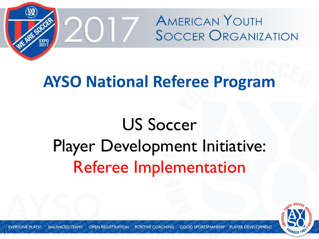

#### **AYSO National Referee Program**

### US Soccer Player Development Initiative: Referee Implementation



1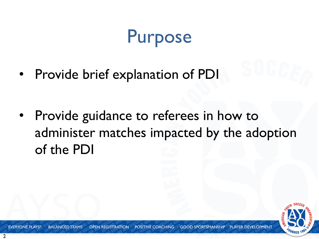#### Purpose

Provide brief explanation of PDI

Provide guidance to referees in how to administer matches impacted by the adoption of the PDI



**EVERYONE PLAYS<sup>®</sup> BALANCED TEAMS POSITIVE COACHING GOOD SPORTSMANSHIP PLAYER DEVEL OPEN REGISTRATION**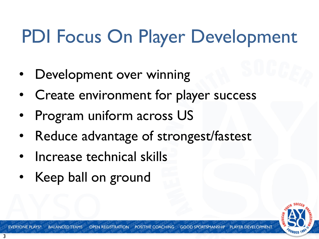## PDI Focus On Player Development

- Development over winning
- Create environment for player success
- Program uniform across US
- Reduce advantage of strongest/fastest
- Increase technical skills
- Keep ball on ground



POSITIVE COACHING **GOOD SPORTSMANSHIP BALANCED TEAMS OPEN REGISTRATION**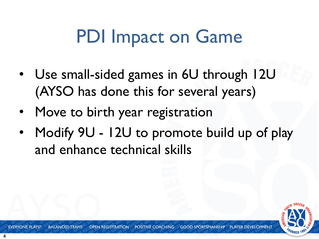#### PDI Impact on Game

- Use small-sided games in 6U through 12U (AYSO has done this for several years)
- Move to birth year registration
- Modify 9U 12U to promote build up of play and enhance technical skills

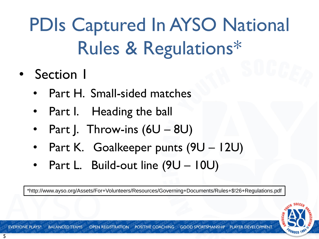PDIs Captured In AYSO National Rules & Regulations\*

- Section 1
	- Part H. Small-sided matches
	- Part I. Heading the ball
	- Part J. Throw-ins  $(6U 8U)$
	- Part K. Goalkeeper punts (9U 12U)
	- Part L. Build-out line (9U 10U)

\*http://www.ayso.org/Assets/For+Volunteers/Resources/Governing+Documents/Rules+\$!26+Regulations.pdf

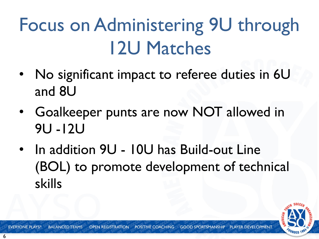## Focus on Administering 9U through 12U Matches

- No significant impact to referee duties in 6U and 8U
- Goalkeeper punts are now NOT allowed in 9U -12U
- In addition 9U 10U has Build-out Line (BOL) to promote development of technical skills

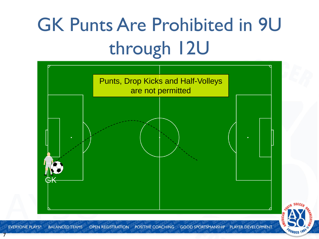# GK Punts Are Prohibited in 9U through 12U





7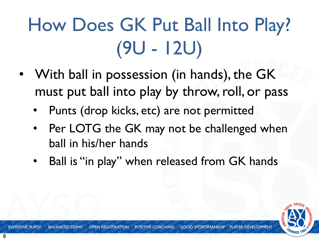# How Does GK Put Ball Into Play? (9U - 12U)

- With ball in possession (in hands), the GK must put ball into play by throw, roll, or pass
	- Punts (drop kicks, etc) are not permitted
	- Per LOTG the GK may not be challenged when ball in his/her hands
	- Ball is "in play" when released from GK hands

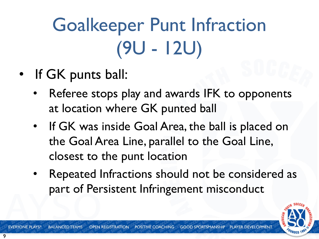# Goalkeeper Punt Infraction (9U - 12U)

- If GK punts ball:
	- Referee stops play and awards IFK to opponents at location where GK punted ball
	- If GK was inside Goal Area, the ball is placed on the Goal Area Line, parallel to the Goal Line, closest to the punt location
	- Repeated Infractions should not be considered as part of Persistent Infringement misconduct

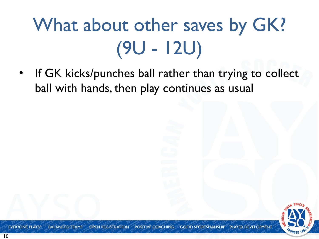# What about other saves by GK? (9U - 12U)

If GK kicks/punches ball rather than trying to collect ball with hands, then play continues as usual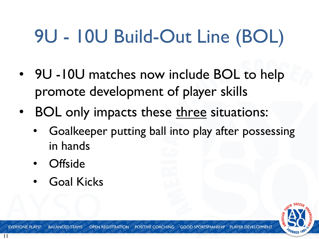# 9U - 10U Build-Out Line (BOL)

- 9U -10U matches now include BOL to help promote development of player skills
- BOL only impacts these three situations:
	- Goalkeeper putting ball into play after possessing in hands
	- **Offside**
	- Goal Kicks

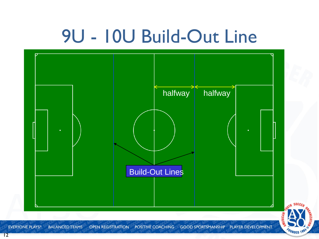### 9U - 10U Build-Out Line



12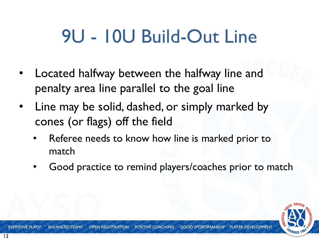### 9U - 10U Build-Out Line

- Located halfway between the halfway line and penalty area line parallel to the goal line
- Line may be solid, dashed, or simply marked by cones (or flags) off the field
	- Referee needs to know how line is marked prior to match
	- Good practice to remind players/coaches prior to match

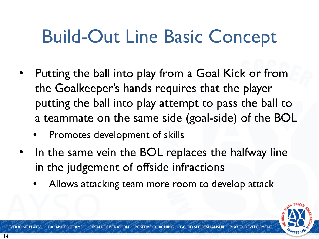#### Build-Out Line Basic Concept

- Putting the ball into play from a Goal Kick or from the Goalkeeper's hands requires that the player putting the ball into play attempt to pass the ball to a teammate on the same side (goal-side) of the BOL
	- Promotes development of skills
- In the same vein the BOL replaces the halfway line in the judgement of offside infractions
	- Allows attacking team more room to develop attack

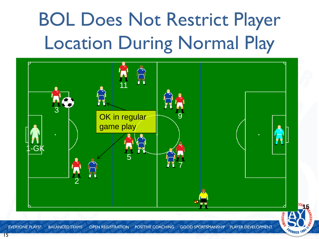# BOL Does Not Restrict Player Location During Normal Play



**EVERYONE PLAYS® BALANCED TEAMS OPEN REGISTRATION POSITIVE COACHING GOOD SPORTSMANSHIP PLAYER DEVELOPMENT**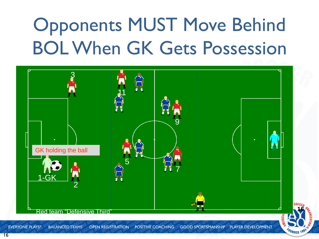### Opponents MUST Move Behind BOL When GK Gets Possession



**EVERYONE PLAYS® BALANCED TEAMS** OPEN REGISTRATION POSITIVE COACHING **GOOD SPORTSMANSHIP** PLAYER DEVELOPMENT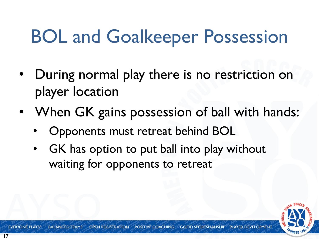### BOL and Goalkeeper Possession

- During normal play there is no restriction on player location
- When GK gains possession of ball with hands:
	- Opponents must retreat behind BOL
	- GK has option to put ball into play without waiting for opponents to retreat

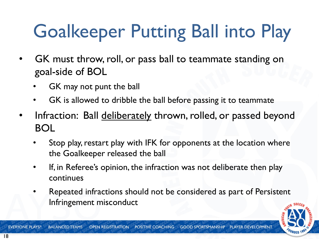# Goalkeeper Putting Ball into Play

- GK must throw, roll, or pass ball to teammate standing on goal-side of BOL
	- GK may not punt the ball
	- GK is allowed to dribble the ball before passing it to teammate
- Infraction: Ball deliberately thrown, rolled, or passed beyond BOL
	- Stop play, restart play with IFK for opponents at the location where the Goalkeeper released the ball
	- If, in Referee's opinion, the infraction was not deliberate then play continues
	- Repeated infractions should not be considered as part of Persistent Infringement misconduct



**EVERYONE PLAYS®** POSITIVE COACHING **GOOD SPORTSMANSHIP PLAYER BALANCED TEAMS OPEN REGISTRATION**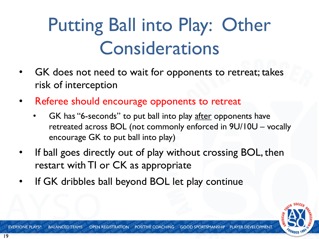### Putting Ball into Play: Other Considerations

- GK does not need to wait for opponents to retreat; takes risk of interception
- Referee should encourage opponents to retreat
	- GK has "6-seconds" to put ball into play after opponents have retreated across BOL (not commonly enforced in 9U/10U – vocally encourage GK to put ball into play)
- If ball goes directly out of play without crossing BOL, then restart with TI or CK as appropriate
- If GK dribbles ball beyond BOL let play continue

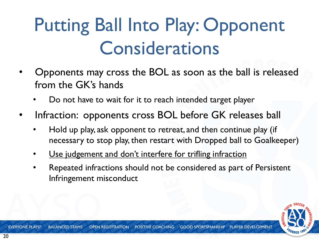### Putting Ball Into Play: Opponent Considerations

- Opponents may cross the BOL as soon as the ball is released from the GK's hands
	- Do not have to wait for it to reach intended target player
- Infraction: opponents cross BOL before GK releases ball
	- Hold up play, ask opponent to retreat, and then continue play (if necessary to stop play, then restart with Dropped ball to Goalkeeper)
	- Use judgement and don't interfere for trifling infraction
	- Repeated infractions should not be considered as part of Persistent Infringement misconduct

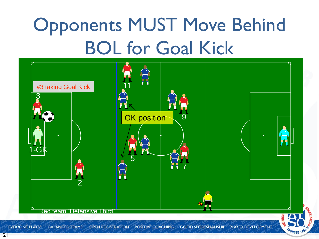# Opponents MUST Move Behind BOL for Goal Kick

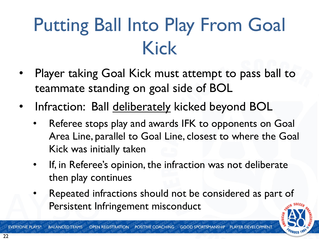### Putting Ball Into Play From Goal Kick

- Player taking Goal Kick must attempt to pass ball to teammate standing on goal side of BOL
- Infraction: Ball deliberately kicked beyond BOL
	- Referee stops play and awards IFK to opponents on Goal Area Line, parallel to Goal Line, closest to where the Goal Kick was initially taken
	- If, in Referee's opinion, the infraction was not deliberate then play continues
	- Repeated infractions should not be considered as part of Persistent Infringement misconduct

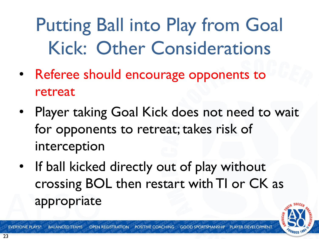Putting Ball into Play from Goal Kick: Other Considerations

- Referee should encourage opponents to retreat
- Player taking Goal Kick does not need to wait for opponents to retreat; takes risk of interception
- If ball kicked directly out of play without crossing BOL then restart with TI or CK as appropriate



**POSITIVE COACHING EVERYONE PLAYS® BALANCED TEAMS OPEN REGISTRATION GOOD SPORTSMANSHIP**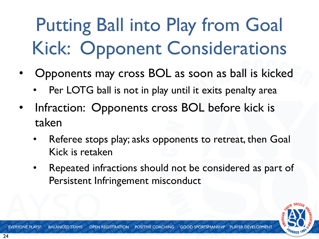# Putting Ball into Play from Goal Kick: Opponent Considerations

- Opponents may cross BOL as soon as ball is kicked
	- Per LOTG ball is not in play until it exits penalty area
- Infraction: Opponents cross BOL before kick is taken
	- Referee stops play; asks opponents to retreat, then Goal Kick is retaken
	- Repeated infractions should not be considered as part of Persistent Infringement misconduct



POSITIVE COACHING **EVERYONE PLAYS<sup>®</sup> BALANCED TEAMS OPEN REGISTRATION GOOD SPORTSMANSHIP**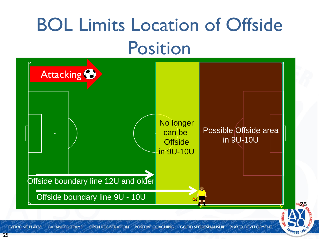### BOL Limits Location of Offside Position

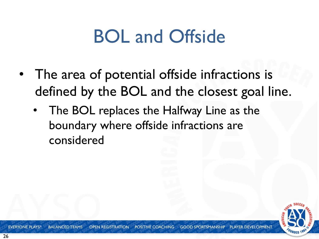#### BOL and Offside

- The area of potential offside infractions is defined by the BOL and the closest goal line.
	- The BOL replaces the Halfway Line as the boundary where offside infractions are considered

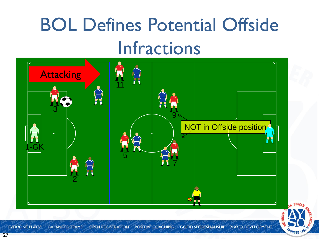### BOL Defines Potential Offside Infractions

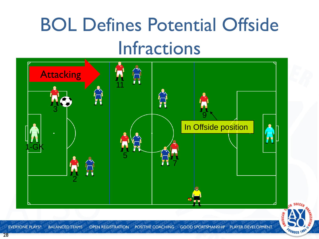### BOL Defines Potential Offside Infractions

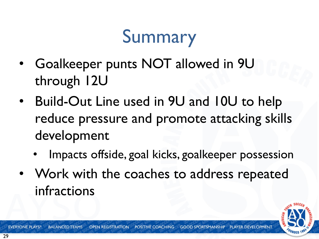#### Summary

- Goalkeeper punts NOT allowed in 9U through 12U
- Build-Out Line used in 9U and 10U to help reduce pressure and promote attacking skills development
	- Impacts offside, goal kicks, goalkeeper possession
- Work with the coaches to address repeated infractions